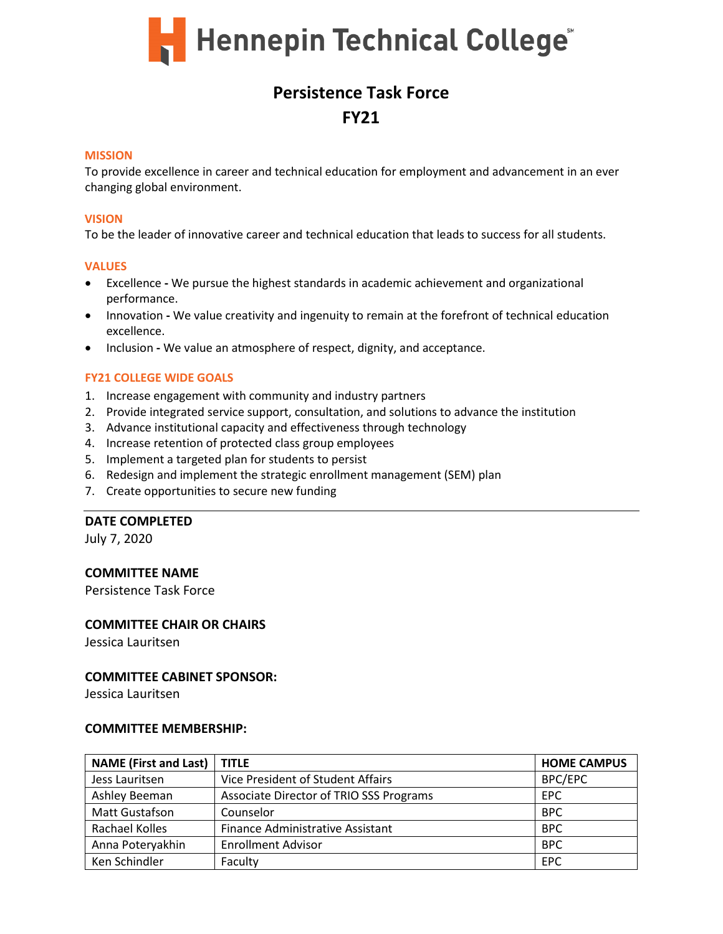

# **Persistence Task Force FY21**

#### **MISSION**

To provide excellence in career and technical education for employment and advancement in an ever changing global environment.

#### **VISION**

To be the leader of innovative career and technical education that leads to success for all students.

#### **VALUES**

- Excellence **-** We pursue the highest standards in academic achievement and organizational performance.
- Innovation **-** We value creativity and ingenuity to remain at the forefront of technical education excellence.
- Inclusion **-** We value an atmosphere of respect, dignity, and acceptance.

# **FY21 COLLEGE WIDE GOALS**

- 1. Increase engagement with community and industry partners
- 2. Provide integrated service support, consultation, and solutions to advance the institution
- 3. Advance institutional capacity and effectiveness through technology
- 4. Increase retention of protected class group employees
- 5. Implement a targeted plan for students to persist
- 6. Redesign and implement the strategic enrollment management (SEM) plan
- 7. Create opportunities to secure new funding

# **DATE COMPLETED**

July 7, 2020

# **COMMITTEE NAME**

Persistence Task Force

# **COMMITTEE CHAIR OR CHAIRS**

Jessica Lauritsen

# **COMMITTEE CABINET SPONSOR:**

Jessica Lauritsen

### **COMMITTEE MEMBERSHIP:**

| <b>NAME (First and Last)</b> | <b>TITLE</b>                            | <b>HOME CAMPUS</b> |
|------------------------------|-----------------------------------------|--------------------|
| Jess Lauritsen               | Vice President of Student Affairs       | BPC/EPC            |
| Ashley Beeman                | Associate Director of TRIO SSS Programs | EPC                |
| Matt Gustafson               | Counselor                               | <b>BPC</b>         |
| Rachael Kolles               | Finance Administrative Assistant        | <b>BPC</b>         |
| Anna Poteryakhin             | <b>Enrollment Advisor</b>               | <b>BPC</b>         |
| Ken Schindler                | Faculty                                 | <b>EPC</b>         |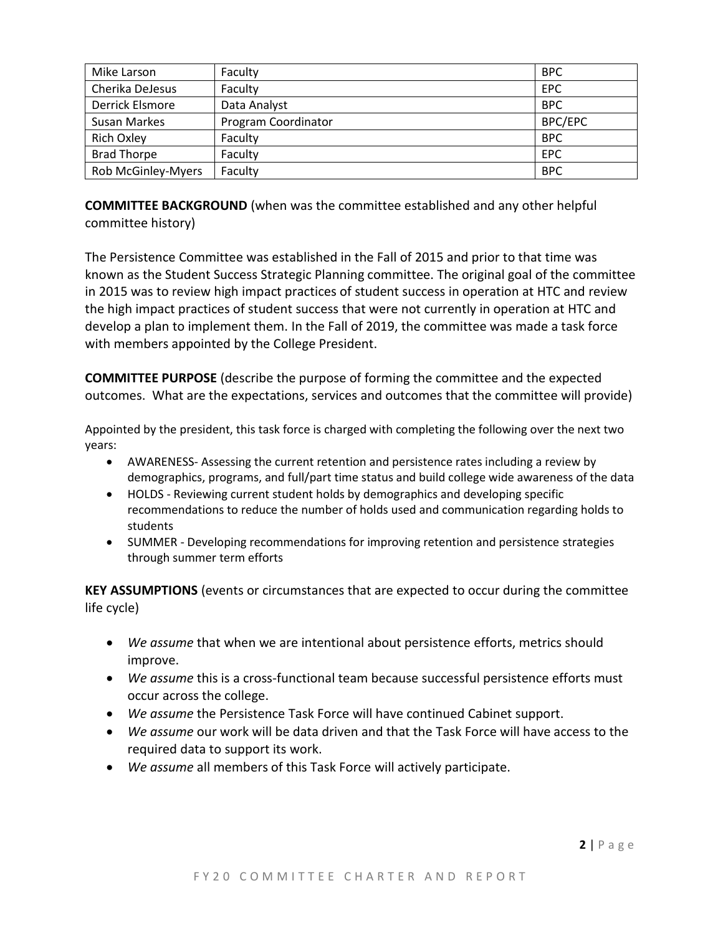| Mike Larson         | Faculty             | <b>BPC</b> |
|---------------------|---------------------|------------|
| Cherika DeJesus     | Faculty             | <b>EPC</b> |
| Derrick Elsmore     | Data Analyst        | <b>BPC</b> |
| <b>Susan Markes</b> | Program Coordinator | BPC/EPC    |
| <b>Rich Oxley</b>   | Faculty             | <b>BPC</b> |
| <b>Brad Thorpe</b>  | Faculty             | <b>EPC</b> |
| Rob McGinley-Myers  | Faculty             | <b>BPC</b> |

**COMMITTEE BACKGROUND** (when was the committee established and any other helpful committee history)

The Persistence Committee was established in the Fall of 2015 and prior to that time was known as the Student Success Strategic Planning committee. The original goal of the committee in 2015 was to review high impact practices of student success in operation at HTC and review the high impact practices of student success that were not currently in operation at HTC and develop a plan to implement them. In the Fall of 2019, the committee was made a task force with members appointed by the College President.

**COMMITTEE PURPOSE** (describe the purpose of forming the committee and the expected outcomes. What are the expectations, services and outcomes that the committee will provide)

Appointed by the president, this task force is charged with completing the following over the next two years:

- AWARENESS- Assessing the current retention and persistence rates including a review by demographics, programs, and full/part time status and build college wide awareness of the data
- HOLDS Reviewing current student holds by demographics and developing specific recommendations to reduce the number of holds used and communication regarding holds to students
- SUMMER Developing recommendations for improving retention and persistence strategies through summer term efforts

**KEY ASSUMPTIONS** (events or circumstances that are expected to occur during the committee life cycle)

- *We assume* that when we are intentional about persistence efforts, metrics should improve.
- *We assume* this is a cross-functional team because successful persistence efforts must occur across the college.
- *We assume* the Persistence Task Force will have continued Cabinet support.
- *We assume* our work will be data driven and that the Task Force will have access to the required data to support its work.
- *We assume* all members of this Task Force will actively participate.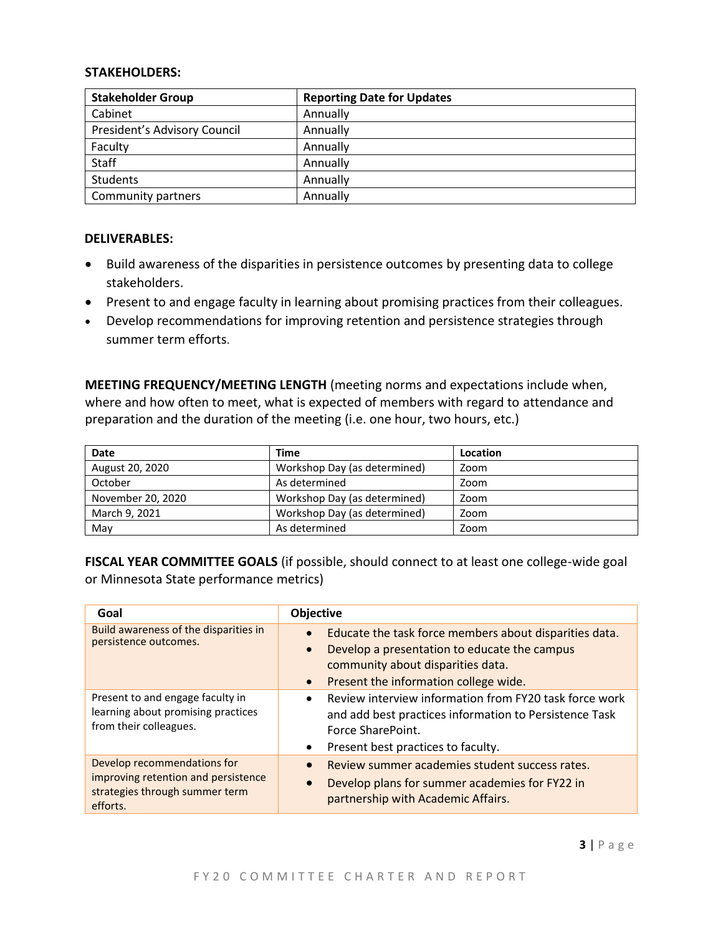### **STAKEHOLDERS:**

| <b>Stakeholder Group</b>     | <b>Reporting Date for Updates</b> |
|------------------------------|-----------------------------------|
| Cabinet                      | Annually                          |
| President's Advisory Council | Annually                          |
| Faculty                      | Annually                          |
| Staff                        | Annually                          |
| <b>Students</b>              | Annually                          |
| Community partners           | Annually                          |

### **DELIVERABLES:**

- Build awareness of the disparities in persistence outcomes by presenting data to college stakeholders.
- Present to and engage faculty in learning about promising practices from their colleagues.
- Develop recommendations for improving retention and persistence strategies through summer term efforts.

**MEETING FREQUENCY/MEETING LENGTH** (meeting norms and expectations include when, where and how often to meet, what is expected of members with regard to attendance and preparation and the duration of the meeting (i.e. one hour, two hours, etc.)

| Date              | Time                         | Location |
|-------------------|------------------------------|----------|
| August 20, 2020   | Workshop Day (as determined) | Zoom     |
| October           | As determined                | Zoom     |
| November 20, 2020 | Workshop Day (as determined) | Zoom     |
| March 9, 2021     | Workshop Day (as determined) | Zoom     |
| May               | As determined                | Zoom     |

**FISCAL YEAR COMMITTEE GOALS** (if possible, should connect to at least one college-wide goal or Minnesota State performance metrics)

| Goal                                                                                                             | Objective                                                                                                                                                                                                      |
|------------------------------------------------------------------------------------------------------------------|----------------------------------------------------------------------------------------------------------------------------------------------------------------------------------------------------------------|
| Build awareness of the disparities in<br>persistence outcomes.                                                   | Educate the task force members about disparities data.<br>Develop a presentation to educate the campus<br>$\bullet$<br>community about disparities data.<br>Present the information college wide.<br>$\bullet$ |
| Present to and engage faculty in<br>learning about promising practices<br>from their colleagues.                 | Review interview information from FY20 task force work<br>$\bullet$<br>and add best practices information to Persistence Task<br>Force SharePoint.<br>Present best practices to faculty.<br>$\bullet$          |
| Develop recommendations for<br>improving retention and persistence<br>strategies through summer term<br>efforts. | Review summer academies student success rates.<br>Develop plans for summer academies for FY22 in<br>$\bullet$<br>partnership with Academic Affairs.                                                            |